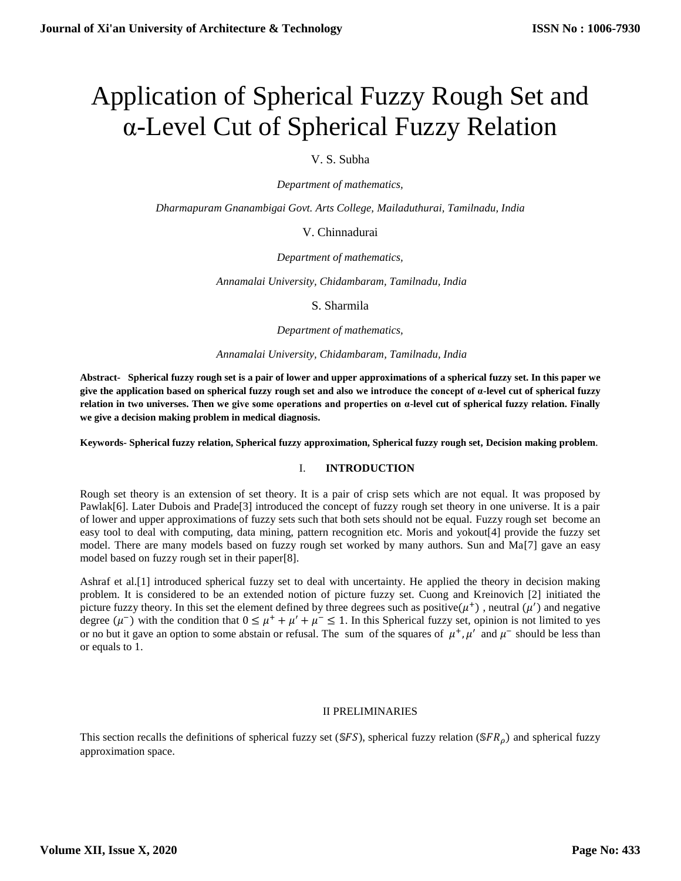# Application of Spherical Fuzzy Rough Set and α-Level Cut of Spherical Fuzzy Relation

## V. S. Subha

*Department of mathematics,* 

*Dharmapuram Gnanambigai Govt. Arts College, Mailaduthurai, Tamilnadu, India*

## V. Chinnadurai

*Department of mathematics,*

*Annamalai University, Chidambaram, Tamilnadu, India*

S. Sharmila

*Department of mathematics,*

*Annamalai University, Chidambaram, Tamilnadu, India*

**Abstract- Spherical fuzzy rough set is a pair of lower and upper approximations of a spherical fuzzy set. In this paper we give the application based on spherical fuzzy rough set and also we introduce the concept of α-level cut of spherical fuzzy relation in two universes. Then we give some operations and properties on α-level cut of spherical fuzzy relation. Finally we give a decision making problem in medical diagnosis.**

**Keywords- Spherical fuzzy relation, Spherical fuzzy approximation, Spherical fuzzy rough set, Decision making problem**.

## I. **INTRODUCTION**

Rough set theory is an extension of set theory. It is a pair of crisp sets which are not equal. It was proposed by Pawlak[6]. Later Dubois and Prade[3] introduced the concept of fuzzy rough set theory in one universe. It is a pair of lower and upper approximations of fuzzy sets such that both sets should not be equal. Fuzzy rough set become an easy tool to deal with computing, data mining, pattern recognition etc. Moris and yokout[4] provide the fuzzy set model. There are many models based on fuzzy rough set worked by many authors. Sun and Ma[7] gave an easy model based on fuzzy rough set in their paper[8].

Ashraf et al.[1] introduced spherical fuzzy set to deal with uncertainty. He applied the theory in decision making problem. It is considered to be an extended notion of picture fuzzy set. Cuong and Kreinovich [2] initiated the picture fuzzy theory. In this set the element defined by three degrees such as positive $(\mu^+)$ , neutral  $(\mu')$  and negative degree  $(\mu^-)$  with the condition that  $0 \leq \mu^+ + \mu' + \mu^- \leq 1$ . In this Spherical fuzzy set, opinion is not limited to yes or no but it gave an option to some abstain or refusal. The sum of the squares of  $\mu^+$ ,  $\mu'$  and  $\mu^-$  should be less than or equals to 1.

## II PRELIMINARIES

This section recalls the definitions of spherical fuzzy set ( $SFS$ ), spherical fuzzy relation ( $SFR<sub>0</sub>$ ) and spherical fuzzy approximation space.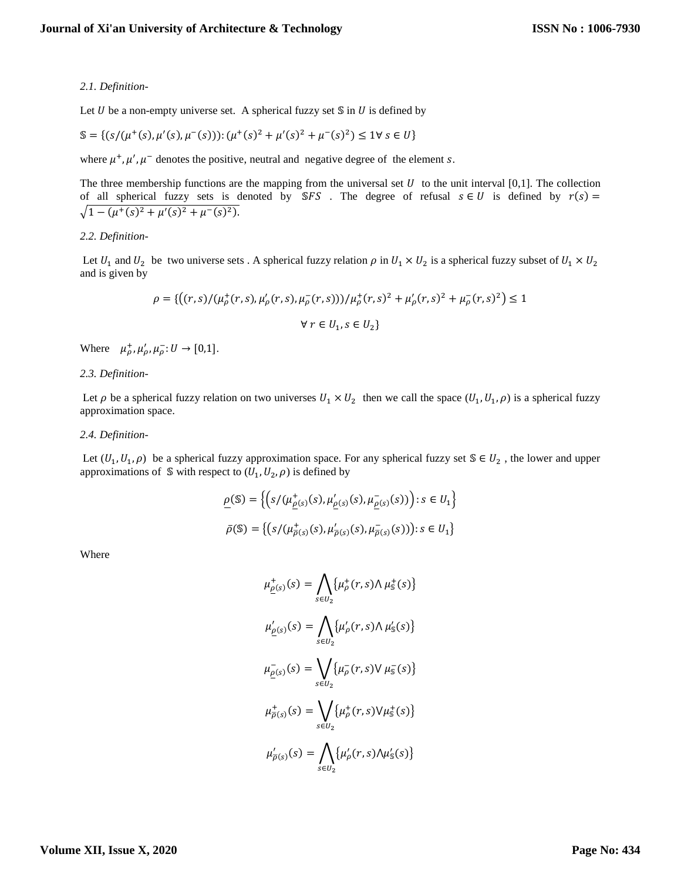## *2.1. Definition-*

Let  $U$  be a non-empty universe set. A spherical fuzzy set  $\mathcal S$  in  $U$  is defined by

$$
\mathbb{S} = \{ (s/(\mu^+(s), \mu'(s), \mu^-(s))): (\mu^+(s)^2 + \mu'(s)^2 + \mu^-(s)^2) \le 1 \forall s \in U \}
$$

where  $\mu^+, \mu', \mu^-$  denotes the positive, neutral and negative degree of the element s.

The three membership functions are the mapping from the universal set  $U$  to the unit interval [0,1]. The collection of all spherical fuzzy sets is denoted by SFS. The degree of refusal  $s \in U$  is defined by  $r(s) =$  $\sqrt{1-(\mu^+(s))^2+\mu'(s)^2+\mu^-(s)^2}.$ 

## *2.2. Definition-*

Let  $U_1$  and  $U_2$  be two universe sets . A spherical fuzzy relation  $\rho$  in  $U_1 \times U_2$  is a spherical fuzzy subset of  $U_1 \times U_2$ and is given by

$$
\rho = \{ \left( (r,s) / (\mu_{\rho}^+(r,s), \mu_{\rho}'(r,s), \mu_{\rho}^-(r,s)) \right) / \mu_{\rho}^+(r,s)^2 + \mu_{\rho}'(r,s)^2 + \mu_{\rho}^-(r,s)^2 \} \le 1
$$
  
 
$$
\forall \ r \in U_1, s \in U_2 \}
$$

Where  $\mu_{\rho}^{\dagger}, \mu_{\rho}^{\prime}, \mu_{\rho}^{-}: U \to [0,1].$ 

## *2.3. Definition-*

Let  $\rho$  be a spherical fuzzy relation on two universes  $U_1 \times U_2$  then we call the space  $(U_1, U_1, \rho)$  is a spherical fuzzy approximation space.

## *2.4. Definition-*

Let  $(U_1, U_1, \rho)$  be a spherical fuzzy approximation space. For any spherical fuzzy set  $\mathcal{S} \in U_2$ , the lower and upper approximations of S with respect to  $(U_1, U_2, \rho)$  is defined by

$$
\underline{\rho}(\mathbb{S}) = \left\{ \left( s / (\mu_{\underline{\rho}(s)}^+(s), \mu_{\underline{\rho}(s)}^-(s), \mu_{\underline{\rho}(s)}^-(s)) \right) : s \in U_1 \right\}
$$
  

$$
\bar{\rho}(\mathbb{S}) = \left\{ \left( s / (\mu_{\bar{\rho}(s)}^+(s), \mu_{\bar{\rho}(s)}^-(s), \mu_{\bar{\rho}(s)}^-(s)) \right) : s \in U_1 \right\}
$$

Where

$$
\mu_{\underline{\rho}(s)}^+(s) = \bigwedge_{s \in U_2} {\{\mu_p^+(r, s) \land \mu_s^+(s)\}}
$$

$$
\mu_{\underline{\rho}(s)}'(s) = \bigwedge_{s \in U_2} {\{\mu_p^-(r, s) \land \mu_s^-(s)\}}
$$

$$
\mu_{\underline{\rho}(s)}^-(s) = \bigvee_{s \in U_2} {\{\mu_p^-(r, s) \lor \mu_s^-(s)\}}
$$

$$
\mu_{\overline{\rho}(s)}^+(s) = \bigvee_{s \in U_2} {\{\mu_p^+(r, s) \lor \mu_s^+(s)\}}
$$

$$
\mu_{\overline{\rho}(s)}'(s) = \bigwedge_{s \in U_2} {\{\mu_p^-(r, s) \land \mu_s^-(s)\}}
$$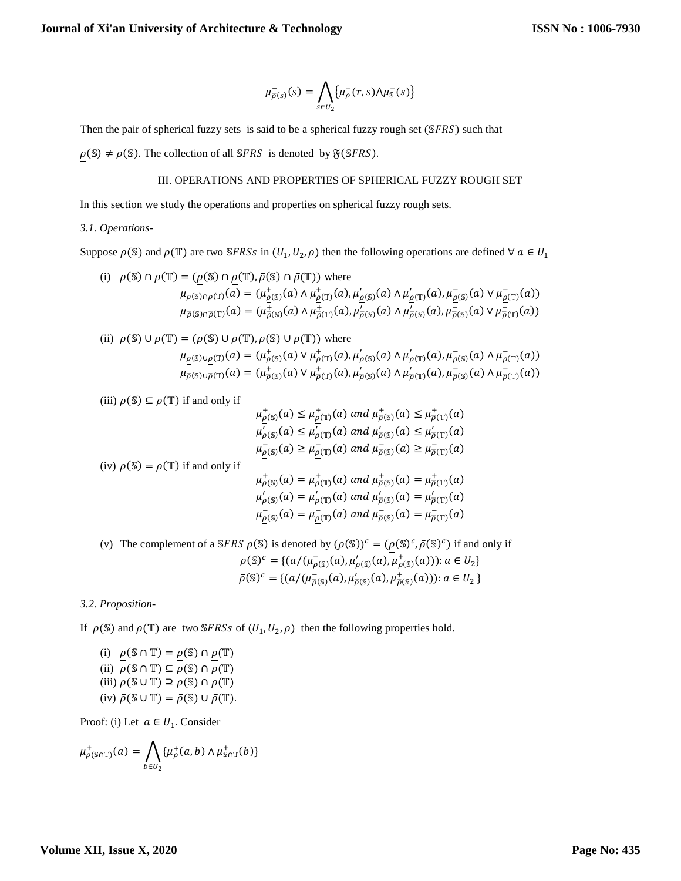$$
\mu_{\overline{\rho}(s)}^-(s) = \bigwedge_{s \in U_2} {\{\mu_{\rho}^-(r,s) \wedge \mu_{\mathbb{S}}^-(s)\}}
$$

Then the pair of spherical fuzzy sets is said to be a spherical fuzzy rough set  $(SFRS)$  such that

 $\rho(\mathbb{S}) \neq \bar{\rho}(\mathbb{S})$ . The collection of all SFRS is denoted by  $\mathfrak{F}(\mathbb{S}FRS)$ .

## III. OPERATIONS AND PROPERTIES OF SPHERICAL FUZZY ROUGH SET

In this section we study the operations and properties on spherical fuzzy rough sets.

## *3.1. Operations-*

Suppose  $\rho(\mathbb{S})$  and  $\rho(\mathbb{T})$  are two SFRSs in  $(U_1, U_2, \rho)$  then the following operations are defined  $\forall \alpha \in U_1$ 

(i)  $\rho(\mathbb{S}) \cap \rho(\mathbb{T}) = (\rho(\mathbb{S}) \cap \rho(\mathbb{T}), \bar{\rho}(\mathbb{S}) \cap \bar{\rho}(\mathbb{T}))$  where  $\mu_{\rho(\mathbb{S}) \cap \rho(\mathbb{T})}(a) = (\mu_{\rho(\mathbb{S})}^+(a) \wedge \mu_{\rho(\mathbb{T})}^+(a), \mu_{\rho(\mathbb{S})}'(a) \wedge \mu_{\rho(\mathbb{T})}'(a), \mu_{\rho(\mathbb{S})}^-(a) \vee \mu_{\rho(\mathbb{T})}^-(a))$  $\mu_{\overline{\rho}(\mathbb{S}) \cap \overline{\rho}(\mathbb{T})}(a) = (\mu_{\overline{\rho}(\mathbb{S})}^+(a) \wedge \mu_{\overline{\rho}(\mathbb{S})}^+(a), \mu_{\overline{\rho}(\mathbb{S})}^-(a) \wedge \mu_{\overline{\rho}(\mathbb{S})}^-(a), \mu_{\overline{\rho}(\mathbb{S})}^-(a) \vee \mu_{\overline{\rho}(\mathbb{T})}^-(a))$ 

(ii) 
$$
\rho(\mathbb{S}) \cup \rho(\mathbb{T}) = (\underline{\rho}(\mathbb{S}) \cup \underline{\rho}(\mathbb{T}), \overline{\rho}(\mathbb{S}) \cup \overline{\rho}(\mathbb{T})) \text{ where}
$$

$$
\mu_{\underline{\rho}(\mathbb{S}) \cup \underline{\rho}(\mathbb{T})}(a) = (\mu_{\underline{\rho}(\mathbb{S})}^{\dagger}(a) \vee \mu_{\underline{\rho}(\mathbb{T})}^{\dagger}(a), \mu_{\underline{\rho}(\mathbb{S})}^{\dagger}(a) \wedge \mu_{\underline{\rho}(\mathbb{T})}^{\dagger}(a), \mu_{\overline{\rho}(\mathbb{S})}^{\dagger}(a) \wedge \mu_{\overline{\rho}(\mathbb{T})}^{\dagger}(a))
$$

$$
\mu_{\overline{\rho}(\mathbb{S}) \cup \overline{\rho}(\mathbb{T})}(a) = (\mu_{\overline{\rho}(\mathbb{S})}^{\dagger}(a) \vee \mu_{\overline{\rho}(\mathbb{T})}^{\dagger}(a), \mu_{\overline{\rho}(\mathbb{S})}^{\dagger}(a) \wedge \mu_{\overline{\rho}(\mathbb{S})}^{\dagger}(a)) \wedge \mu_{\overline{\rho}(\mathbb{T})}^{\dagger}(a))
$$

(iii)  $\rho$ (\integsilomeg(\integsilomeg(\integsilomeg(\integsilomeg(\integsilomeg(\integsilomeg(\integsilomeg(\integsilomeg(\integsilomeg(\integsilomeg(\integsilomeg(\integsilomeg(\integsilomeg(\integsilomeg(\integsilomeg(

$$
\mu_{\rho(\mathbb{S})}^{\dagger}(a) \leq \mu_{\rho(\mathbb{T})}^{\dagger}(a) \text{ and } \mu_{\rho(\mathbb{S})}^{\dagger}(a) \leq \mu_{\rho(\mathbb{T})}^{\dagger}(a)
$$
  

$$
\mu_{\rho(\mathbb{S})}^{\dagger}(a) \leq \mu_{\rho(\mathbb{T})}^{\dagger}(a) \text{ and } \mu_{\rho(\mathbb{S})}^{\dagger}(a) \leq \mu_{\rho(\mathbb{T})}^{\dagger}(a)
$$
  

$$
\mu_{\rho(\mathbb{S})}^{\dagger}(a) \geq \mu_{\rho(\mathbb{T})}^{\dagger}(a) \text{ and } \mu_{\rho(\mathbb{S})}^{\dagger}(a) \geq \mu_{\rho(\mathbb{T})}^{\dagger}(a)
$$

(iv)  $\rho(S) = \rho(T)$  if and only if

$$
\mu^+_{\rho(S)}(a) = \mu^+_{\rho(T)}(a) \text{ and } \mu^+_{\rho(S)}(a) = \mu^+_{\rho(T)}(a)
$$
  

$$
\mu'_{\rho(S)}(a) = \mu'_{\rho(T)}(a) \text{ and } \mu'_{\rho(S)}(a) = \mu'_{\rho(T)}(a)
$$
  

$$
\mu^-_{\rho(S)}(a) = \mu^-_{\rho(T)}(a) \text{ and } \mu^-_{\rho(S)}(a) = \mu^-_{\rho(T)}(a)
$$

(v) The complement of a SFRS  $\rho(S)$  is denoted by  $(\rho(S))^c = (\rho(S)^c, \bar{\rho}(S)^c)$  if and only if  $\underline{\rho}(\mathbb{S})^c = \{ (a/(\mu_{\rho(\mathbb{S})}^-(a), \mu_{\rho(\mathbb{S})}^+(a), \mu_{\rho(\mathbb{S})}^+(a))) : a \in U_2 \}$  $\bar{\rho}(\mathbb{S})^c = \{ (a/(\mu_{\bar{\rho}(\mathbb{S})}^-(a), \mu_{\bar{\rho}(\mathbb{S})}^+(a), \mu_{\bar{\rho}(\mathbb{S})}^+(a)) : a \in U_2 \}$ 

## *3.2. Proposition-*

If  $\rho(\mathbb{S})$  and  $\rho(\mathbb{T})$  are two SFRSs of  $(U_1, U_2, \rho)$  then the following properties hold.

(i)  $\rho(\mathbb{S} \cap \mathbb{T}) = \rho(\mathbb{S}) \cap \rho(\mathbb{T})$ (ii)  $\bar{\rho}(\mathbb{S} \cap \mathbb{T}) \subseteq \bar{\rho}(\mathbb{S}) \cap \bar{\rho}(\mathbb{T})$ (iii)  $\rho$ ( $\text{S} \cup \text{T}$ )  $\supseteq \rho$ ( $\text{S}$ )  $\cap$   $\rho$ ( $\text{T}$ ) (iv)  $\bar{\rho}(\mathbb{S} \cup \mathbb{T}) = \bar{\rho}(\mathbb{S}) \cup \bar{\rho}(\mathbb{T}).$ 

Proof: (i) Let  $a \in U_1$ . Consider

$$
\mu^+_{\underline{\rho}(\mathbb{S}\cap\mathbb{T})}(a) = \bigwedge_{b\in U_2} \{\mu^+_{\rho}(a,b) \wedge \mu^+_{\mathbb{S}\cap\mathbb{T}}(b)\}
$$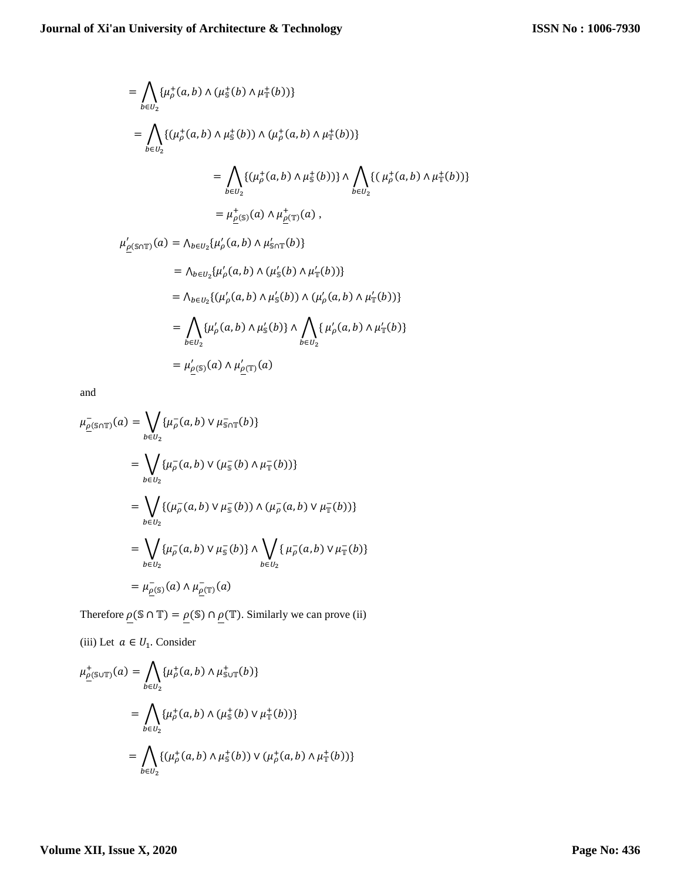$$
= \bigwedge_{b \in U_2} {\{\mu_p^+(a, b) \land (\mu_s^+(b) \land \mu_T^+(b))\}}
$$
  
\n
$$
= \bigwedge_{b \in U_2} {\{\mu_p^+(a, b) \land \mu_s^+(b) \land (\mu_p^+(a, b) \land \mu_T^+(b))\}}
$$
  
\n
$$
= \bigwedge_{b \in U_2} {\{\mu_p^+(a, b) \land \mu_s^+(b) \land \mu_s^+(b)\}} \wedge \bigwedge_{b \in U_2} {\{\mu_p^+(a, b) \land \mu_T^+(b)\}}
$$
  
\n
$$
= \mu_{\underline{\rho}(\mathbb{S})}^+(a) \land \mu_{\underline{\rho}(\mathbb{T})}^+(a),
$$

 $\mu'_{\rho(\text{S}\cap\mathbb{T})}(a) = \Lambda_{b \in U_2} {\mu'_{\rho}(a,b) \wedge \mu'_{\text{S}\cap\mathbb{T}}(b)}$ 

$$
= \Lambda_{b \in U_2} {\{\mu'_\rho(a, b) \land (\mu'_s(b) \land \mu'_T(b))\}}
$$
  
\n
$$
= \Lambda_{b \in U_2} {\{\mu'_\rho(a, b) \land \mu'_s(b) \land (\mu'_\rho(a, b) \land \mu'_T(b))\}}
$$
  
\n
$$
= \bigwedge_{b \in U_2} {\{\mu'_\rho(a, b) \land \mu'_s(b)\}} \wedge \bigwedge_{b \in U_2} {\{\mu'_\rho(a, b) \land \mu'_T(b)\}}
$$
  
\n
$$
= \mu'_{\underline{\rho(s)}}(a) \wedge \mu'_{\underline{\rho(T)}}(a)
$$

and

$$
\mu_{\underline{\rho}(\mathbb{S}\cap\mathbb{T})}^{-}(a) = \bigvee_{b \in U_2} \{\mu_{\rho}^{-}(a,b) \vee \mu_{\mathbb{S}\cap\mathbb{T}}^{-}(b)\}
$$
\n
$$
= \bigvee_{b \in U_2} \{\mu_{\rho}^{-}(a,b) \vee (\mu_{\mathbb{S}}^{-}(b) \wedge \mu_{\mathbb{T}}^{-}(b))\}
$$
\n
$$
= \bigvee_{b \in U_2} \{(\mu_{\rho}^{-}(a,b) \vee \mu_{\mathbb{S}}^{-}(b)) \wedge (\mu_{\rho}^{-}(a,b) \vee \mu_{\mathbb{T}}^{-}(b))\}
$$
\n
$$
= \bigvee_{b \in U_2} \{\mu_{\rho}^{-}(a,b) \vee \mu_{\mathbb{S}}^{-}(b)\} \wedge \bigvee_{b \in U_2} \{\mu_{\rho}^{-}(a,b) \vee \mu_{\mathbb{T}}^{-}(b)\}
$$
\n
$$
= \mu_{\underline{\rho}(\mathbb{S})}^{-}(a) \wedge \mu_{\underline{\rho}(\mathbb{T})}^{-}(a)
$$

Therefore  $\underline{\rho}(\mathbb{S} \cap \mathbb{T}) = \underline{\rho}(\mathbb{S}) \cap \underline{\rho}(\mathbb{T})$ . Similarly we can prove (ii)

(iii) Let  $a \in U_1$ . Consider

$$
\mu_{\underline{\rho}(\mathbb{S}\cup\mathbb{T})}^{+}(a) = \bigwedge_{b\in U_2} \{\mu_{\rho}^{+}(a,b) \wedge \mu_{\mathbb{S}\cup\mathbb{T}}^{+}(b)\}
$$
\n
$$
= \bigwedge_{b\in U_2} \{\mu_{\rho}^{+}(a,b) \wedge (\mu_{\mathbb{S}}^{+}(b) \vee \mu_{\mathbb{T}}^{+}(b))\}
$$
\n
$$
= \bigwedge_{b\in U_2} \{(\mu_{\rho}^{+}(a,b) \wedge \mu_{\mathbb{S}}^{+}(b)) \vee (\mu_{\rho}^{+}(a,b) \wedge \mu_{\mathbb{T}}^{+}(b))\}
$$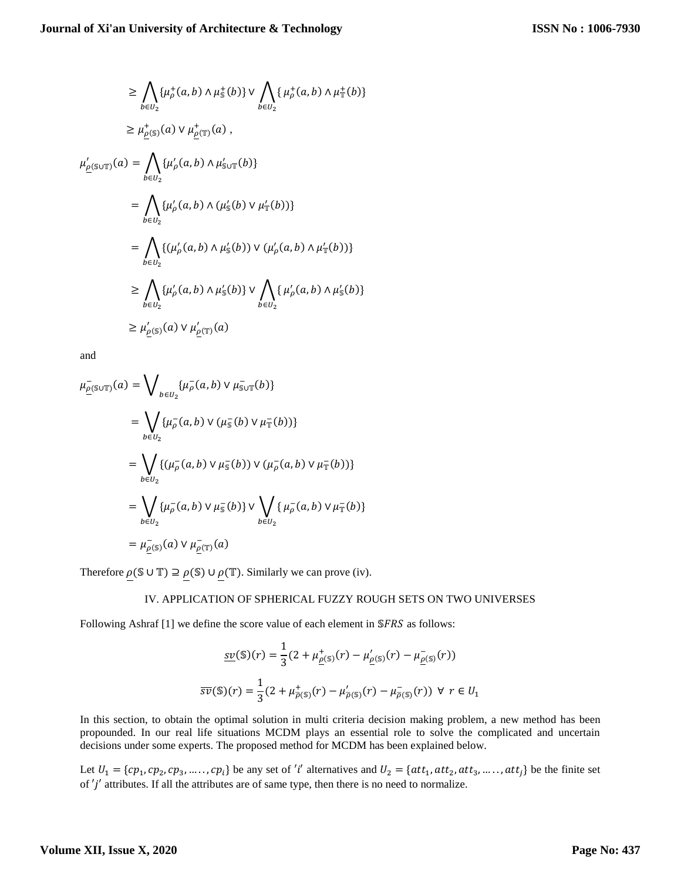$$
\geq \bigwedge_{b \in U_2} {\{\mu_p^+(a,b) \land \mu_s^+(b)\}} \lor \bigwedge_{b \in U_2} {\{\mu_p^+(a,b) \land \mu_s^+(b)\}}
$$
  
\n
$$
\geq \mu_{\underline{\rho}(s)}^+(a) \lor \mu_{\underline{\rho}(s)}^+(a),
$$
  
\n
$$
\mu_{\underline{\rho}(s \cup \mathbb{T})}'(a) = \bigwedge_{b \in U_2} {\{\mu_p'(a,b) \land \mu_{s \cup \mathbb{T}}'(b)\}}
$$
  
\n
$$
= \bigwedge_{b \in U_2} {\{\mu_p'(a,b) \land (\mu_s'(b) \lor \mu_s'(b))\}}
$$
  
\n
$$
= \bigwedge_{b \in U_2} {\{\mu_p'(a,b) \land \mu_s'(b)) \lor (\mu_p'(a,b) \land \mu_s'(b))\}}
$$
  
\n
$$
\geq \bigwedge_{b \in U_2} {\{\mu_p'(a,b) \land \mu_s'(b)\}} \lor \bigwedge_{b \in U_2} {\{\mu_p'(a,b) \land \mu_s'(b)\}}
$$
  
\n
$$
\geq \mu_{\rho(s)}'(a) \lor \mu_{\rho(\mathbb{T})}'(a)
$$

and

$$
\mu_{\underline{\rho}(\mathbb{S}\cup\mathbb{T})}^{-}(a) = \bigvee_{b \in U_2} {\{\mu_{\rho}^{-}(a,b) \vee \mu_{\mathbb{S}\cup\mathbb{T}}^{-}(b)\}}
$$
\n
$$
= \bigvee_{b \in U_2} {\{\mu_{\rho}^{-}(a,b) \vee (\mu_{\mathbb{S}}^{-}(b) \vee \mu_{\mathbb{T}}^{-}(b))\}}
$$
\n
$$
= \bigvee_{b \in U_2} {\{\mu_{\rho}^{-}(a,b) \vee \mu_{\mathbb{S}}^{-}(b)\} \vee (\mu_{\rho}^{-}(a,b) \vee \mu_{\mathbb{T}}^{-}(b))\}}
$$
\n
$$
= \bigvee_{b \in U_2} {\{\mu_{\rho}^{-}(a,b) \vee \mu_{\mathbb{S}}^{-}(b)\} \vee \bigvee_{b \in U_2} {\{\mu_{\rho}^{-}(a,b) \vee \mu_{\mathbb{T}}^{-}(b)\}}
$$
\n
$$
= \mu_{\underline{\rho}(\mathbb{S})}^{-}(a) \vee \mu_{\underline{\rho}(\mathbb{T})}^{-}(a)
$$

Therefore  $\rho(\mathcal{S} \cup \mathbb{T}) \supseteq \rho(\mathcal{S}) \cup \rho(\mathbb{T})$ . Similarly we can prove (iv).

## IV. APPLICATION OF SPHERICAL FUZZY ROUGH SETS ON TWO UNIVERSES

Following Ashraf  $[1]$  we define the score value of each element in  $SFRS$  as follows:

$$
\underline{sv}(\mathbb{S})(r) = \frac{1}{3} (2 + \mu_{\underline{\rho}(\mathbb{S})}^+(r) - \mu_{\underline{\rho}(\mathbb{S})}^{\prime}(r) - \mu_{\underline{\rho}(\mathbb{S})}^-(r))
$$
  

$$
\overline{sv}(\mathbb{S})(r) = \frac{1}{3} (2 + \mu_{\overline{\rho}(\mathbb{S})}^+(r) - \mu_{\overline{\rho}(\mathbb{S})}^{\prime}(r) - \mu_{\overline{\rho}(\mathbb{S})}^-(r)) \ \forall \ r \in U_1
$$

In this section, to obtain the optimal solution in multi criteria decision making problem, a new method has been propounded. In our real life situations MCDM plays an essential role to solve the complicated and uncertain decisions under some experts. The proposed method for MCDM has been explained below.

Let  $U_1 = \{cp_1, cp_2, cp_3, \dots, cp_i\}$  be any set of 'i' alternatives and  $U_2 = \{att_1, att_2, att_3, \dots, att_j\}$  be the finite set of  $'j'$  attributes. If all the attributes are of same type, then there is no need to normalize.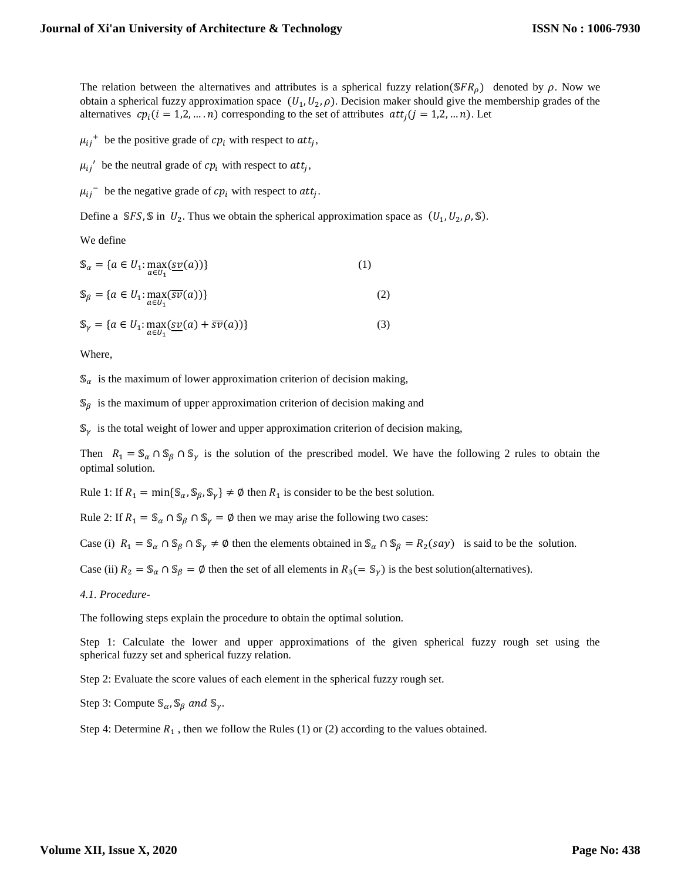The relation between the alternatives and attributes is a spherical fuzzy relation( $SFR<sub>o</sub>$ ) denoted by  $\rho$ . Now we obtain a spherical fuzzy approximation space  $(U_1, U_2, \rho)$ . Decision maker should give the membership grades of the alternatives  $cp_i$  ( $i = 1,2,...,n$ ) corresponding to the set of attributes  $att_i$  ( $j = 1,2,...,n$ ). Let

 $\mu_{ij}$ <sup>+</sup> be the positive grade of  $cp_i$  with respect to att<sub>j</sub>,

 $\mu_{ij}$ <sup>'</sup> be the neutral grade of  $cp_i$  with respect to  $att_j$ ,

 $\mu_{ij}$ <sup>-</sup> be the negative grade of  $cp_i$  with respect to  $att_j$ .

Define a SFS, S in  $U_2$ . Thus we obtain the spherical approximation space as  $(U_1, U_2, \rho, \mathbb{S})$ .

We define

$$
\mathbb{S}_a = \{a \in U_1 : \max_{a \in U_1} (\underline{sv}(a))\}
$$
\n
$$
\mathbb{S}_\beta = \{a \in U_1 : \max_{a \in U_1} (\overline{sv}(a))\}
$$
\n
$$
(1)
$$
\n
$$
\tag{2}
$$

$$
\mathbb{S}_{\gamma} = \{a \in U_1 : \max_{a \in U_1} (\underline{sv}(a) + \overline{sv}(a))\}
$$
(3)

Where,

 $\mathcal{S}_{\alpha}$  is the maximum of lower approximation criterion of decision making,

 $\mathcal{S}_{\beta}$  is the maximum of upper approximation criterion of decision making and

 $\mathbb{S}_{\gamma}$  is the total weight of lower and upper approximation criterion of decision making,

Then  $R_1 = S_\alpha \cap S_\beta \cap S_\gamma$  is the solution of the prescribed model. We have the following 2 rules to obtain the optimal solution.

Rule 1: If  $R_1 = \min\{\mathbb{S}_{\alpha}, \mathbb{S}_{\beta}, \mathbb{S}_{\gamma}\}\neq \emptyset$  then  $R_1$  is consider to be the best solution.

Rule 2: If  $R_1 = \mathbb{S}_{\alpha} \cap \mathbb{S}_{\beta} \cap \mathbb{S}_{\gamma} = \emptyset$  then we may arise the following two cases:

Case (i)  $R_1 = \mathbb{S}_{\alpha} \cap \mathbb{S}_{\beta} \cap \mathbb{S}_{\gamma} \neq \emptyset$  then the elements obtained in  $\mathbb{S}_{\alpha} \cap \mathbb{S}_{\beta} = R_2(say)$  is said to be the solution.

Case (ii)  $R_2 = \mathcal{S}_{\alpha} \cap \mathcal{S}_{\beta} = \emptyset$  then the set of all elements in  $R_3(=\mathcal{S}_{\gamma})$  is the best solution(alternatives).

*4.1. Procedure-*

The following steps explain the procedure to obtain the optimal solution.

Step 1: Calculate the lower and upper approximations of the given spherical fuzzy rough set using the spherical fuzzy set and spherical fuzzy relation.

Step 2: Evaluate the score values of each element in the spherical fuzzy rough set.

Step 3: Compute  $\mathcal{S}_{\alpha}$ ,  $\mathcal{S}_{\beta}$  and  $\mathcal{S}_{\gamma}$ .

Step 4: Determine  $R_1$ , then we follow the Rules (1) or (2) according to the values obtained.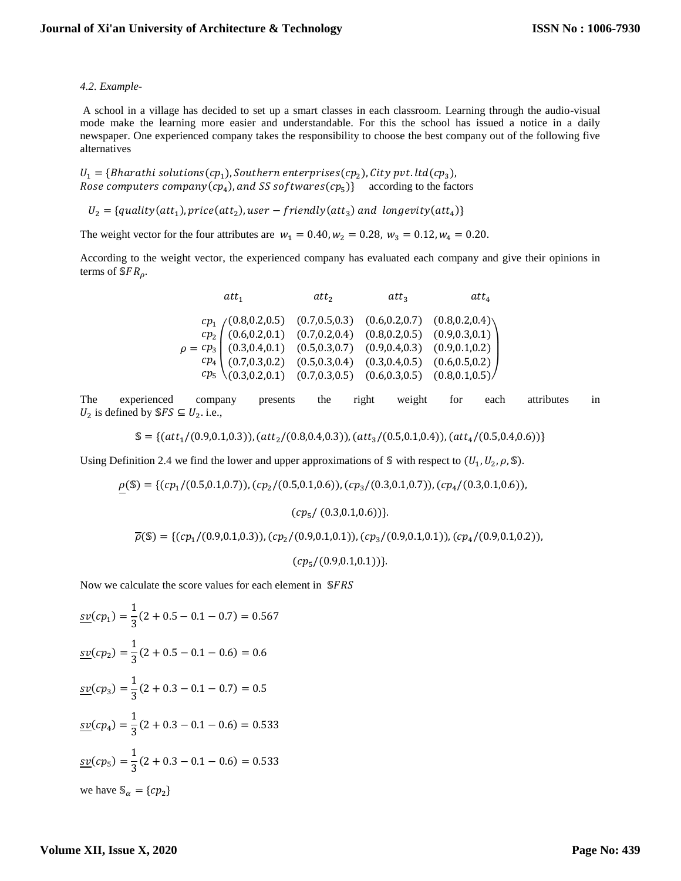#### *4.2. Example-*

A school in a village has decided to set up a smart classes in each classroom. Learning through the audio-visual mode make the learning more easier and understandable. For this the school has issued a notice in a daily newspaper. One experienced company takes the responsibility to choose the best company out of the following five alternatives

 $U_1 = \{Bharathi\ solutions (cp_1), Southern\ enter prices (cp_2), City\ put.ltl (cp_3),$ Rose computers company(cp<sub>4</sub>), and SS softwares(cp<sub>5</sub>)} according to the factors

 $U_2 = \{quality(att_1), price(att_2), user - friendly(att_3) \}$  and longevity $(att_4)$ 

The weight vector for the four attributes are  $w_1 = 0.40, w_2 = 0.28, w_3 = 0.12, w_4 = 0.20$ .

According to the weight vector, the experienced company has evaluated each company and give their opinions in terms of  $SFR_{\rho}$ .

| att <sub>1</sub>                                                                                                                                                                                                                                                                                | $att_2$ | $att_3$ | $att_4$ |
|-------------------------------------------------------------------------------------------------------------------------------------------------------------------------------------------------------------------------------------------------------------------------------------------------|---------|---------|---------|
| $\begin{array}{cccc} cp_1 \ (0.8, 0.2, 0.5) & (0.7, 0.5, 0.3) & (0.6, 0.2, 0.7) & (0.8, 0.2, 0.4) \\ cp_2 \ \end{array}$ $\begin{array}{cccc} cp_1 \ (0.6, 0.2, 0.1) & (0.7, 0.2, 0.4) & (0.8, 0.2, 0.5) & (0.9, 0.3, 0.1) \\ (0.3, 0.4, 0.1) & (0.5, 0.3, 0.7) & (0.9, 0.4, 0.3) & (0.9, 0.1,$ |         |         |         |
|                                                                                                                                                                                                                                                                                                 |         |         |         |
|                                                                                                                                                                                                                                                                                                 |         |         |         |
| $\begin{pmatrix} cp_4 \\ (0.7, 0.3, 0.2) \\ (0.3, 0.2, 0.1) \\ (0.7, 0.3, 0.5) \\ (0.6, 0.3, 0.5) \end{pmatrix}$ (0.4, 0.5) (0.6, 0.5, 0.2)                                                                                                                                                     |         |         |         |
|                                                                                                                                                                                                                                                                                                 |         |         |         |
|                                                                                                                                                                                                                                                                                                 |         |         |         |

The experienced company presents the right weight for each attributes in  $U_2$  is defined by  $\mathcal{S}FS \subseteq U_2$ . i.e.,

$$
\mathbb{S} = \{ (att_1/(0.9, 0.1, 0.3)), (att_2/(0.8, 0.4, 0.3)), (att_3/(0.5, 0.1, 0.4)), (att_4/(0.5, 0.4, 0.6)) \}
$$

Using Definition 2.4 we find the lower and upper approximations of S with respect to  $(U_1, U_2, \rho, \mathbb{S})$ .

$$
\rho(\mathbb{S}) = \{ (cp_1/(0.5, 0.1, 0.7)), (cp_2/(0.5, 0.1, 0.6)), (cp_3/(0.3, 0.1, 0.7)), (cp_4/(0.3, 0.1, 0.6)),
$$

 $(c p<sub>5</sub> / (0.3, 0.1, 0.6))$ .

 $\overline{\rho}(\mathbb{S}) = \{ (cp_1/(0.9, 0.1, 0.3)), (cp_2/(0.9, 0.1, 0.1)), (cp_3/(0.9, 0.1, 0.1)), (cp_4/(0.9, 0.1, 0.2)),$ 

 $(c p_5/(0.9, 0.1, 0.1))$ 

Now we calculate the score values for each element in SFRS

$$
\underline{sv}(cp_1) = \frac{1}{3}(2 + 0.5 - 0.1 - 0.7) = 0.567
$$
  

$$
\underline{sv}(cp_2) = \frac{1}{3}(2 + 0.5 - 0.1 - 0.6) = 0.6
$$
  

$$
\underline{sv}(cp_3) = \frac{1}{3}(2 + 0.3 - 0.1 - 0.7) = 0.5
$$
  

$$
\underline{sv}(cp_4) = \frac{1}{3}(2 + 0.3 - 0.1 - 0.6) = 0.533
$$
  

$$
\underline{sv}(cp_5) = \frac{1}{3}(2 + 0.3 - 0.1 - 0.6) = 0.533
$$
  
we have  $\mathbb{S}_\alpha = \{cp_2\}$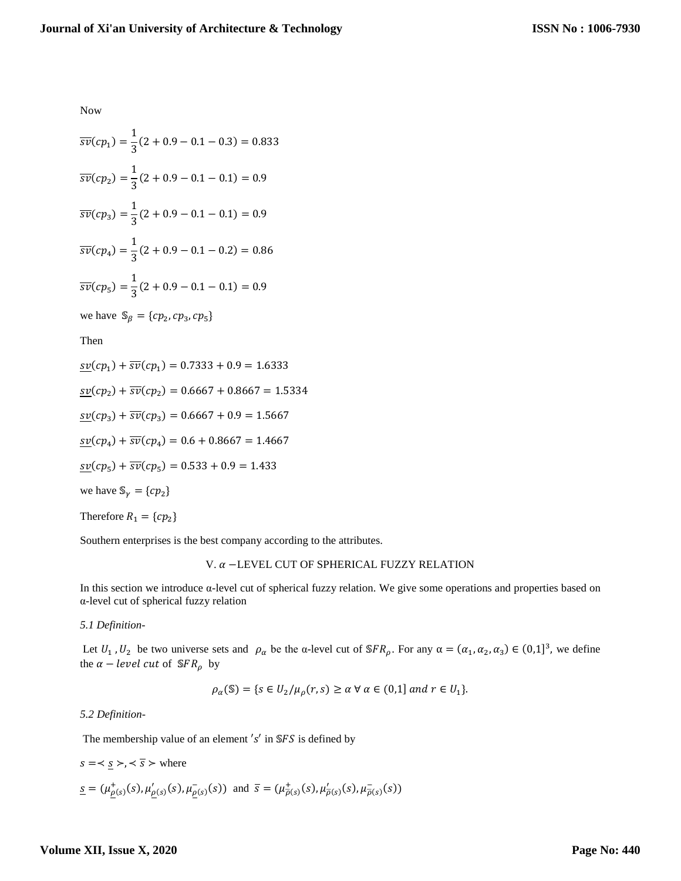Now

$$
\overline{sv}(cp_1) = \frac{1}{3}(2 + 0.9 - 0.1 - 0.3) = 0.833
$$
  

$$
\overline{sv}(cp_2) = \frac{1}{3}(2 + 0.9 - 0.1 - 0.1) = 0.9
$$
  

$$
\overline{sv}(cp_3) = \frac{1}{3}(2 + 0.9 - 0.1 - 0.1) = 0.9
$$
  

$$
\overline{sv}(cp_4) = \frac{1}{3}(2 + 0.9 - 0.1 - 0.2) = 0.86
$$
  

$$
\overline{sv}(cp_5) = \frac{1}{3}(2 + 0.9 - 0.1 - 0.1) = 0.9
$$

we have  $\mathbb{S}_{\beta} = \{cp_2, cp_3, cp_5\}$ 

Then

 $\frac{sv}{(cp_1)} + \overline{sv}(cp_1) = 0.7333 + 0.9 = 1.6333$  $\frac{sv}{(cp_2)} + \overline{sv}(cp_2) = 0.6667 + 0.8667 = 1.5334$  $\frac{\text{sv}}{\text{sv}}(cp_3) + \overline{\text{sv}}(cp_3) = 0.6667 + 0.9 = 1.5667$  $\frac{\text{sv}}{\text{sv}}(cp_4) + \overline{\text{sv}}(cp_4) = 0.6 + 0.8667 = 1.4667$  $\frac{\text{sv}}{\text{sv}}(\text{cp}_5) + \overline{\text{sv}}(\text{cp}_5) = 0.533 + 0.9 = 1.433$ we have  $\mathbb{S}_{\gamma} = \{cp_2\}$ Therefore  $R_1 = \{cp_2\}$ 

Southern enterprises is the best company according to the attributes.

## V. α −LEVEL CUT OF SPHERICAL FUZZY RELATION

In this section we introduce α-level cut of spherical fuzzy relation. We give some operations and properties based on α-level cut of spherical fuzzy relation

*5.1 Definition-*

Let  $U_1$ ,  $U_2$  be two universe sets and  $\rho_\alpha$  be the  $\alpha$ -level cut of SFR<sub>p</sub>. For any  $\alpha = (\alpha_1, \alpha_2, \alpha_3) \in (0,1]^3$ , we define the  $\alpha$  – *level cut* of  $SFR_\rho$  by

$$
\rho_{\alpha}(\mathbb{S}) = \{ s \in U_2 / \mu_{\rho}(r, s) \ge \alpha \,\forall \,\alpha \in (0, 1] \text{ and } r \in U_1 \}.
$$

## *5.2 Definition*-

The membership value of an element  $'s'$  in  $SFS$  is defined by

$$
s = \langle \underline{s} \rangle, \langle \overline{s} \rangle \text{ where}
$$
  

$$
\underline{s} = (\mu_{\underline{\rho}(s)}^+(s), \mu_{\underline{\rho}(s)}'(s), \mu_{\underline{\rho}(s)}^-(s)) \text{ and } \overline{s} = (\mu_{\overline{\rho}(s)}^+(s), \mu_{\overline{\rho}(s)}'(s), \mu_{\overline{\rho}(s)}^-(s))
$$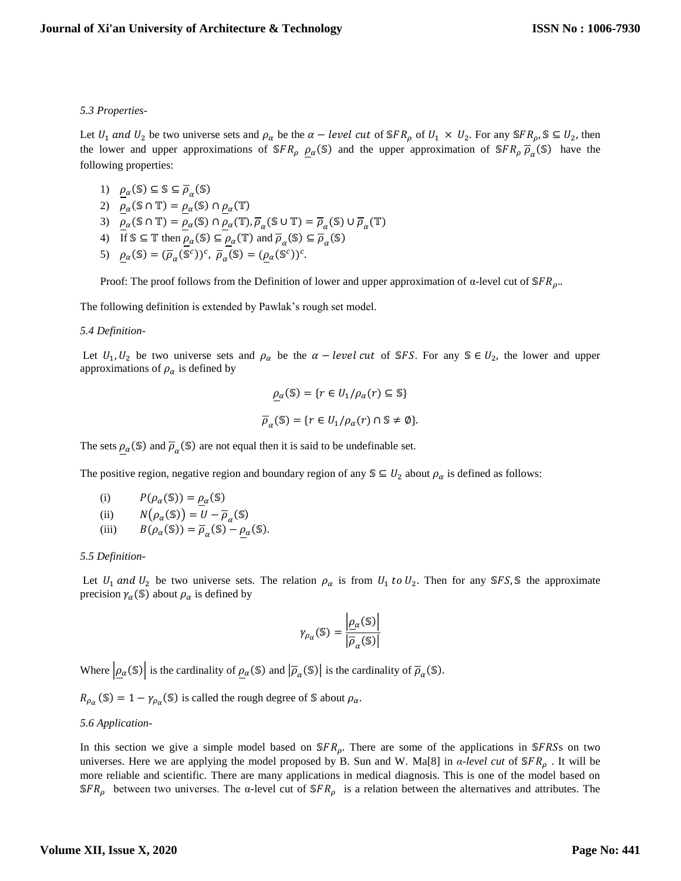## *5.3 Properties-*

Let  $U_1$  and  $U_2$  be two universe sets and  $\rho_\alpha$  be the  $\alpha - level$  cut of SFR<sub>p</sub> of  $U_1 \times U_2$ . For any SFR<sub>p</sub>, S  $\subseteq U_2$ , then the lower and upper approximations of  $SFR_\rho$   $\underline{\rho}_\alpha(\mathbb{S})$  and the upper approximation of  $SFR_\rho \overline{\rho}_\alpha(\mathbb{S})$  have the following properties:

- 1)  $\rho_{\alpha}(\mathbb{S}) \subseteq \mathbb{S} \subseteq \overline{\rho}_{\alpha}(\mathbb{S})$
- 2)  $\rho_{\alpha}(\mathbb{S} \cap \mathbb{T}) = \rho_{\alpha}(\mathbb{S}) \cap \rho_{\alpha}(\mathbb{T})$
- 3)  $\underline{\rho}_{\alpha}(\mathbb{S} \cap \mathbb{T}) = \underline{\rho}_{\alpha}(\mathbb{S}) \cap \underline{\rho}_{\alpha}(\mathbb{T}), \overline{\rho}_{\alpha}(\mathbb{S} \cup \mathbb{T}) = \overline{\rho}_{\alpha}(\mathbb{S}) \cup \overline{\rho}_{\alpha}(\mathbb{T})$
- 4) If  $\mathbb{S} \subseteq \mathbb{T}$  then  $\underline{\rho}_{\alpha}(\mathbb{S}) \subseteq \underline{\rho}_{\alpha}(\mathbb{T})$  and  $\overline{\rho}_{\alpha}(\mathbb{S}) \subseteq \overline{\rho}_{\alpha}(\mathbb{S})$
- 5)  $\underline{\rho}_{\alpha}(\mathbb{S}) = (\overline{\rho}_{\alpha}(\mathbb{S}^c))^c$ ,  $\overline{\rho}_{\alpha}(\mathbb{S}) = (\underline{\rho}_{\alpha}(\mathbb{S}^c))^c$ .

Proof: The proof follows from the Definition of lower and upper approximation of  $\alpha$ -level cut of  $\mathcal{S}FR_{\rho}$ ...

The following definition is extended by Pawlak's rough set model.

#### *5.4 Definition*-

Let  $U_1, U_2$  be two universe sets and  $\rho_\alpha$  be the  $\alpha - level cut$  of SFS. For any S  $\in U_2$ , the lower and upper approximations of  $\rho_{\alpha}$  is defined by

$$
\underline{\rho}_{\alpha}(\mathbb{S}) = \{r \in U_1/\rho_{\alpha}(r) \subseteq \mathbb{S}\}
$$

$$
\overline{\rho}_{\alpha}(\mathbb{S}) = \{r \in U_1/\rho_{\alpha}(r) \cap \mathbb{S} \neq \emptyset\}.
$$

The sets  $\rho_{\alpha}(\mathbb{S})$  and  $\overline{\rho}_{\alpha}(\mathbb{S})$  are not equal then it is said to be undefinable set.

The positive region, negative region and boundary region of any  $\mathcal{S} \subseteq U_2$  about  $\rho_{\alpha}$  is defined as follows:

- (i)  $P(\rho_\alpha(\mathbb{S})) = \rho_\alpha(\mathbb{S})$
- (ii)  $N(\rho_{\alpha}(\mathbb{S})) = U \overline{\rho}_{\alpha}(\mathbb{S})$
- (iii)  $B(\rho_\alpha(\mathbb{S})) = \overline{\rho}_\alpha(\mathbb{S}) \underline{\rho}_\alpha(\mathbb{S}).$

## *5.5 Definition*-

Let  $U_1$  and  $U_2$  be two universe sets. The relation  $\rho_\alpha$  is from  $U_1$  to  $U_2$ . Then for any SFS, S the approximate precision  $\gamma_\alpha$ (S) about  $\rho_\alpha$  is defined by

$$
\gamma_{\rho_{\alpha}}(\mathbb{S}) = \frac{\left|\underline{\rho}_{\alpha}(\mathbb{S})\right|}{\left|\overline{\rho}_{\alpha}(\mathbb{S})\right|}
$$

Where  $|\rho_{\alpha}(\mathbb{S})|$  is the cardinality of  $\rho_{\alpha}(\mathbb{S})$  and  $|\overline{\rho}_{\alpha}(\mathbb{S})|$  is the cardinality of  $\overline{\rho}_{\alpha}(\mathbb{S})$ .

 $R_{\rho_{\alpha}}(\mathbb{S}) = 1 - \gamma_{\rho_{\alpha}}(\mathbb{S})$  is called the rough degree of  $\mathbb{S}$  about  $\rho_{\alpha}$ .

## *5.6 Application-*

In this section we give a simple model based on  $SFR<sub>0</sub>$ . There are some of the applications in SFRSs on two universes. Here we are applying the model proposed by B. Sun and W. Ma[8] in  $\alpha$ -level cut of  $\mathcal{SFR}_0$ . It will be more reliable and scientific. There are many applications in medical diagnosis. This is one of the model based on  $\mathcal{S}FR_{\rho}$  between two universes. The  $\alpha$ -level cut of  $\mathcal{S}FR_{\rho}$  is a relation between the alternatives and attributes. The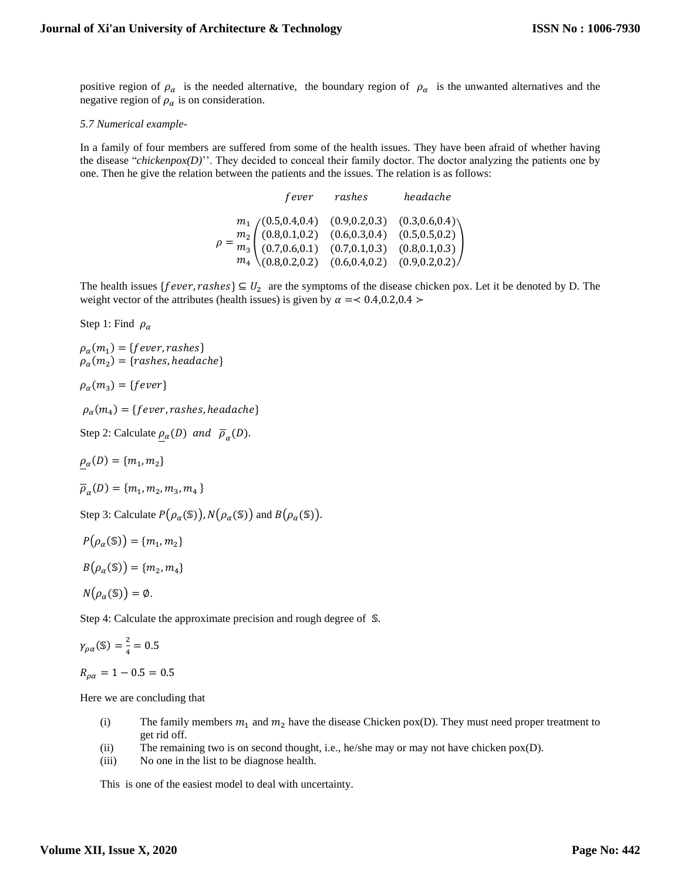positive region of  $\rho_{\alpha}$  is the needed alternative, the boundary region of  $\rho_{\alpha}$  is the unwanted alternatives and the negative region of  $\rho_{\alpha}$  is on consideration.

#### *5.7 Numerical example-*

In a family of four members are suffered from some of the health issues. They have been afraid of whether having the disease "*chickenpox(D)*''. They decided to conceal their family doctor. The doctor analyzing the patients one by one. Then he give the relation between the patients and the issues. The relation is as follows:

|                                                                                                                                                                                                                                                                                      |  | fever rashes | headache |
|--------------------------------------------------------------------------------------------------------------------------------------------------------------------------------------------------------------------------------------------------------------------------------------|--|--------------|----------|
| $\rho = \frac{m_1}{m_3} \begin{pmatrix} (0.5, 0.4, 0.4) & (0.9, 0.2, 0.3) & (0.3, 0.6, 0.4) \\ (0.8, 0.1, 0.2) & (0.6, 0.3, 0.4) & (0.5, 0.5, 0.2) \\ (0.7, 0.6, 0.1) & (0.7, 0.1, 0.3) & (0.8, 0.1, 0.3) \\ m_4 & (0.8, 0.2, 0.2) & (0.6, 0.4, 0.2) & (0.9, 0.2, 0.2) \end{pmatrix$ |  |              |          |
|                                                                                                                                                                                                                                                                                      |  |              |          |
|                                                                                                                                                                                                                                                                                      |  |              |          |
|                                                                                                                                                                                                                                                                                      |  |              |          |

The health issues { $fever, rashes$ }  $\subseteq U_2$  are the symptoms of the disease chicken pox. Let it be denoted by D. The weight vector of the attributes (health issues) is given by  $\alpha = 0.4, 0.2, 0.4 >$ 

Step 1: Find  $\rho_{\alpha}$ 

 $\rho_{\alpha}(m_{1}) = \{fever, rashes\}$  $\rho_{\alpha}(m_2) = \{rashes, headache\}$ 

 $\rho_{\alpha}(m_3) = \{fever\}$ 

 $\rho_\alpha(m_4) = \{fever, rashes, headache\}$ 

Step 2: Calculate  $\underline{\rho}_{\alpha}(D)$  and  $\overline{\rho}_{\alpha}(D)$ .

 $\rho_{\alpha}(D) = \{m_1, m_2\}$ 

$$
\overline{\rho}_{\alpha}(D) = \{m_1, m_2, m_3, m_4\}
$$

Step 3: Calculate  $P(\rho_\alpha(\mathbb{S}))$ ,  $N(\rho_\alpha(\mathbb{S}))$  and  $B(\rho_\alpha(\mathbb{S}))$ .

$$
P(\rho_\alpha(\mathbb{S}))=\{m_1,m_2\}
$$

 $B(\rho_{\alpha}(\mathbb{S})) = \{m_2, m_4\}$ 

$$
N(\rho_{\alpha}(\mathbb{S})) = \emptyset.
$$

Step 4: Calculate the approximate precision and rough degree of  $\mathcal{S}$ .

$$
\gamma_{\rho\alpha}(\mathbb{S}) = \frac{2}{4} = 0.5
$$

 $R_{\rho\alpha} = 1 - 0.5 = 0.5$ 

Here we are concluding that

- (i) The family members  $m_1$  and  $m_2$  have the disease Chicken pox(D). They must need proper treatment to get rid off.
- (ii) The remaining two is on second thought, i.e., he/she may or may not have chicken pox(D).
- (iii) No one in the list to be diagnose health.

This is one of the easiest model to deal with uncertainty.